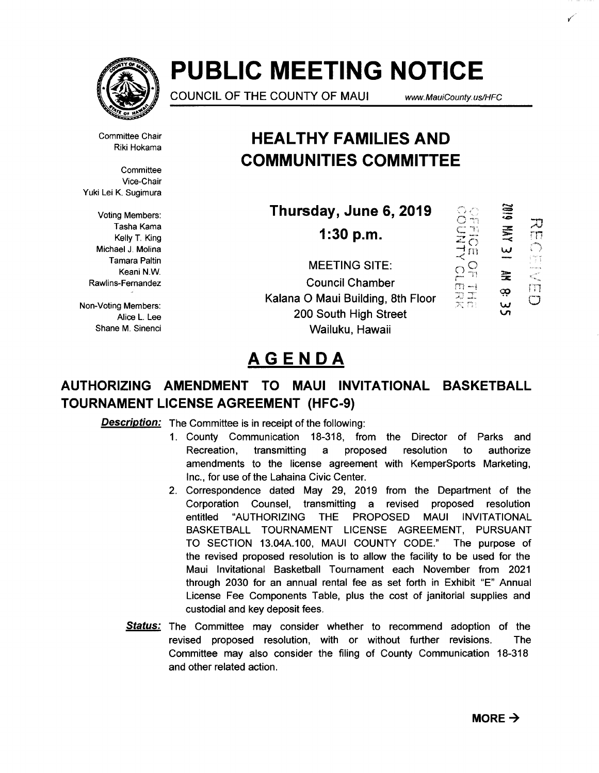

# **PUBLIC MEETING NOTICE**

COUNCIL OF THE COUNTY OF MAUl www. MauiCounty. us/HFC

·,\_.I"' '

 $\mathbb{Z}$   $\mathbb{Z}$ 

Committee Chair Riki Hokama

**Committee** Vice-Chair Yuki Lei K. Sugimura

Kelly T. King Michael J. Molina Tamara Paltin Keani N.W.

Alice L. Lee Shane M. Sinenci

## **HEAL THY FAMILIES AND COMMUNITIES COMMITTEE**

i Lei K. Sugimura<br>Voting Members:  $\begin{matrix} \text{Voting Members:} \ \text{Thursday, June 6, 2019} \ \text{Tasha Kama} \end{matrix} \begin{matrix} \cong \text{Ran} \ \text{Rama} \end{matrix}$ **Thursday, June 6, 2019** 

**1:30 p.m.** 

MEETING SITE:<br>Council Chamber<br> $\overbrace{m=1}^{\infty}$ \* Fernandez Council Chamber<br>Rawlins-Fernandez Council Chamber<br>Franci Council Chamber and a strike the Floor and T Non-Voting Members:<br>
Non-Voting Members: **Kalana O Maui Building, 8th Floor**  $\overline{X}$ 200 South High Street Wailuku, Hawaii



# **AGENDA**

### **AUTHORIZING AMENDMENT TO MAUl INVITATIONAL BASKETBALL TOURNAMENT LICENSE AGREEMENT (HFC-9)**

**Description:** The Committee is in receipt of the following:

- 1. County Communication 18-318, from the Director of Parks and Recreation, transmitting a proposed resolution to authorize amendments to the license agreement with KemperSports Marketing, Inc., for use of the Lahaina Civic Center.
- 2. Correspondence dated May 29, 2019 from the Department of the Corporation Counsel, transmitting a revised proposed resolution entitled "AUTHORIZING THE PROPOSED MAUl INVITATIONAL BASKETBALL TOURNAMENT LICENSE AGREEMENT, PURSUANT TO SECTION 13.04A.100, MAUl COUNTY CODE." The purpose of the revised proposed resolution is to allow the facility to be used for the Maui Invitational Basketball Tournament each November from 2021 through 2030 for an annual rental fee as set forth in Exhibit "E" Annual License Fee Components Table, plus the cost of janitorial supplies and custodial and key deposit fees.
- **Status:** The Committee may consider whether to recommend adoption of the revised proposed resolution, with or without further revisions. The Committee may also consider the filing of County Communication 18-318 and other related action.